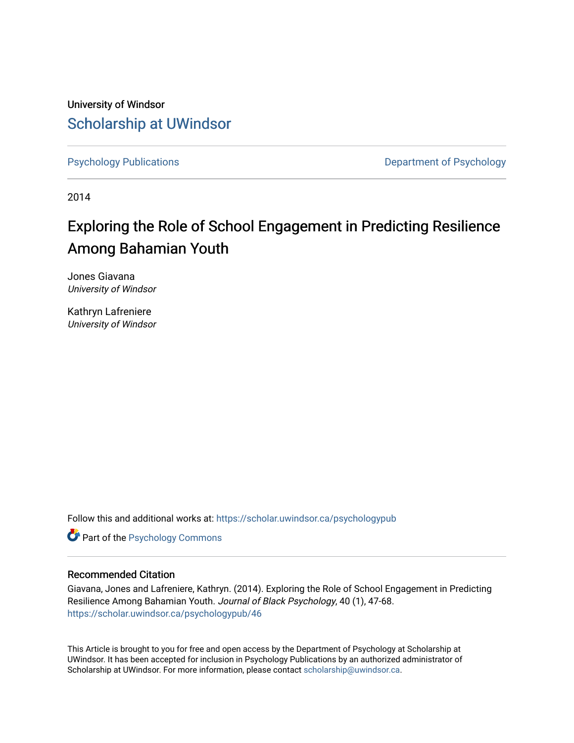University of Windsor [Scholarship at UWindsor](https://scholar.uwindsor.ca/) 

[Psychology Publications](https://scholar.uwindsor.ca/psychologypub) **Department of Psychology** 

2014

# Exploring the Role of School Engagement in Predicting Resilience Among Bahamian Youth

Jones Giavana University of Windsor

Kathryn Lafreniere University of Windsor

Follow this and additional works at: [https://scholar.uwindsor.ca/psychologypub](https://scholar.uwindsor.ca/psychologypub?utm_source=scholar.uwindsor.ca%2Fpsychologypub%2F46&utm_medium=PDF&utm_campaign=PDFCoverPages) 

**Part of the Psychology Commons** 

#### Recommended Citation

Giavana, Jones and Lafreniere, Kathryn. (2014). Exploring the Role of School Engagement in Predicting Resilience Among Bahamian Youth. Journal of Black Psychology, 40 (1), 47-68. [https://scholar.uwindsor.ca/psychologypub/46](https://scholar.uwindsor.ca/psychologypub/46?utm_source=scholar.uwindsor.ca%2Fpsychologypub%2F46&utm_medium=PDF&utm_campaign=PDFCoverPages)

This Article is brought to you for free and open access by the Department of Psychology at Scholarship at UWindsor. It has been accepted for inclusion in Psychology Publications by an authorized administrator of Scholarship at UWindsor. For more information, please contact [scholarship@uwindsor.ca.](mailto:scholarship@uwindsor.ca)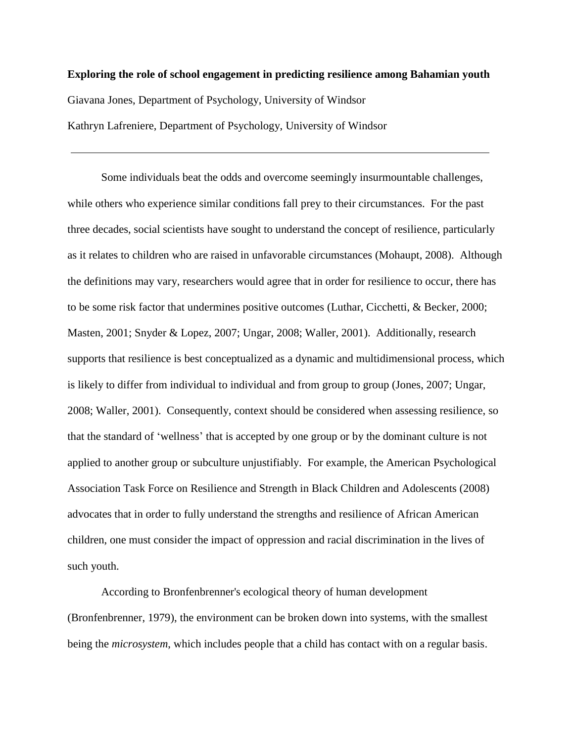**Exploring the role of school engagement in predicting resilience among Bahamian youth** Giavana Jones, Department of Psychology, University of Windsor Kathryn Lafreniere, Department of Psychology, University of Windsor

Some individuals beat the odds and overcome seemingly insurmountable challenges, while others who experience similar conditions fall prey to their circumstances. For the past three decades, social scientists have sought to understand the concept of resilience, particularly as it relates to children who are raised in unfavorable circumstances (Mohaupt, 2008). Although the definitions may vary, researchers would agree that in order for resilience to occur, there has to be some risk factor that undermines positive outcomes (Luthar, Cicchetti, & Becker, 2000; Masten, 2001; Snyder & Lopez, 2007; Ungar, 2008; Waller, 2001). Additionally, research supports that resilience is best conceptualized as a dynamic and multidimensional process, which is likely to differ from individual to individual and from group to group (Jones, 2007; Ungar, 2008; Waller, 2001). Consequently, context should be considered when assessing resilience, so that the standard of 'wellness' that is accepted by one group or by the dominant culture is not applied to another group or subculture unjustifiably. For example, the American Psychological Association Task Force on Resilience and Strength in Black Children and Adolescents (2008) advocates that in order to fully understand the strengths and resilience of African American children, one must consider the impact of oppression and racial discrimination in the lives of such youth.

According to Bronfenbrenner's ecological theory of human development (Bronfenbrenner, 1979), the environment can be broken down into systems, with the smallest being the *microsystem*, which includes people that a child has contact with on a regular basis.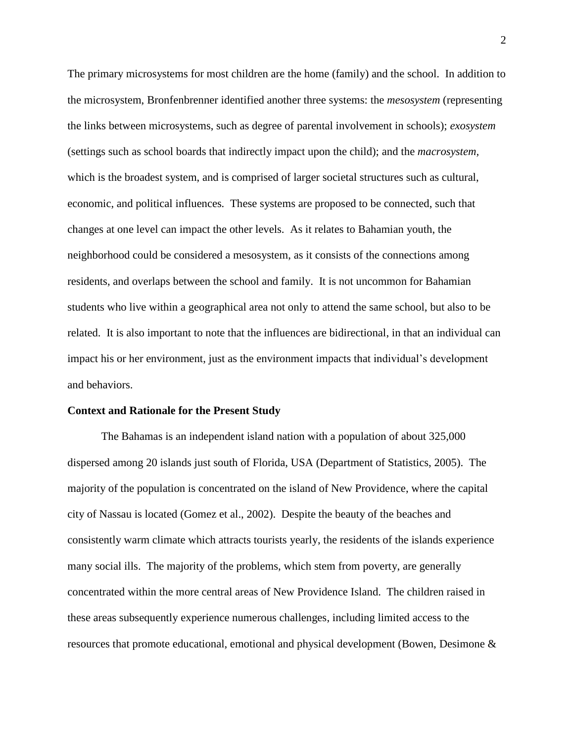The primary microsystems for most children are the home (family) and the school. In addition to the microsystem, Bronfenbrenner identified another three systems: the *mesosystem* (representing the links between microsystems, such as degree of parental involvement in schools); *exosystem* (settings such as school boards that indirectly impact upon the child); and the *macrosystem,*  which is the broadest system, and is comprised of larger societal structures such as cultural, economic, and political influences*.* These systems are proposed to be connected, such that changes at one level can impact the other levels. As it relates to Bahamian youth, the neighborhood could be considered a mesosystem, as it consists of the connections among residents, and overlaps between the school and family. It is not uncommon for Bahamian students who live within a geographical area not only to attend the same school, but also to be related. It is also important to note that the influences are bidirectional, in that an individual can impact his or her environment, just as the environment impacts that individual's development and behaviors.

#### **Context and Rationale for the Present Study**

The Bahamas is an independent island nation with a population of about 325,000 dispersed among 20 islands just south of Florida, USA (Department of Statistics, 2005). The majority of the population is concentrated on the island of New Providence, where the capital city of Nassau is located (Gomez et al., 2002). Despite the beauty of the beaches and consistently warm climate which attracts tourists yearly, the residents of the islands experience many social ills. The majority of the problems, which stem from poverty, are generally concentrated within the more central areas of New Providence Island. The children raised in these areas subsequently experience numerous challenges, including limited access to the resources that promote educational, emotional and physical development (Bowen, Desimone &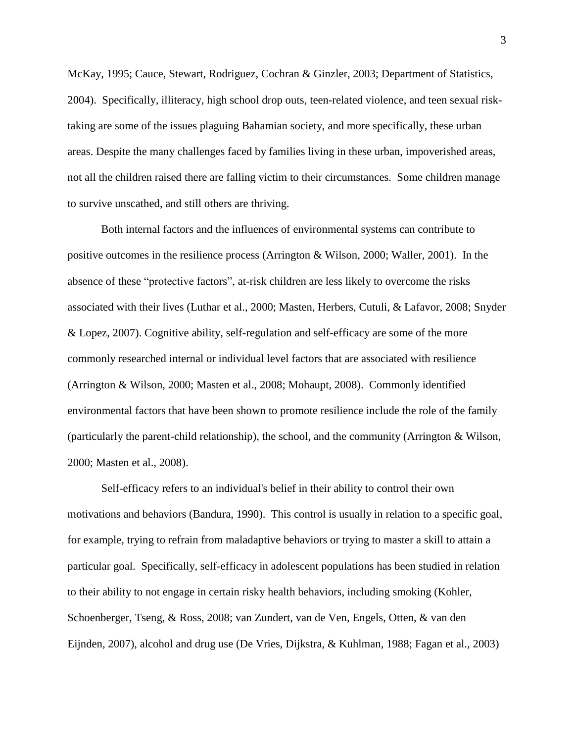McKay, 1995; Cauce, Stewart, Rodriguez, Cochran & Ginzler, 2003; Department of Statistics, 2004). Specifically, illiteracy, high school drop outs, teen-related violence, and teen sexual risktaking are some of the issues plaguing Bahamian society, and more specifically, these urban areas. Despite the many challenges faced by families living in these urban, impoverished areas, not all the children raised there are falling victim to their circumstances. Some children manage to survive unscathed, and still others are thriving.

Both internal factors and the influences of environmental systems can contribute to positive outcomes in the resilience process (Arrington & Wilson, 2000; Waller, 2001). In the absence of these "protective factors", at-risk children are less likely to overcome the risks associated with their lives (Luthar et al., 2000; Masten, Herbers, Cutuli, & Lafavor, 2008; Snyder & Lopez, 2007). Cognitive ability, self-regulation and self-efficacy are some of the more commonly researched internal or individual level factors that are associated with resilience (Arrington & Wilson, 2000; Masten et al., 2008; Mohaupt, 2008). Commonly identified environmental factors that have been shown to promote resilience include the role of the family (particularly the parent-child relationship), the school, and the community (Arrington & Wilson, 2000; Masten et al., 2008).

Self-efficacy refers to an individual's belief in their ability to control their own motivations and behaviors (Bandura, 1990). This control is usually in relation to a specific goal, for example, trying to refrain from maladaptive behaviors or trying to master a skill to attain a particular goal. Specifically, self-efficacy in adolescent populations has been studied in relation to their ability to not engage in certain risky health behaviors, including smoking (Kohler, Schoenberger, Tseng, & Ross, 2008; van Zundert, van de Ven, Engels, Otten, & van den Eijnden, 2007), alcohol and drug use (De Vries, Dijkstra, & Kuhlman, 1988; Fagan et al., 2003)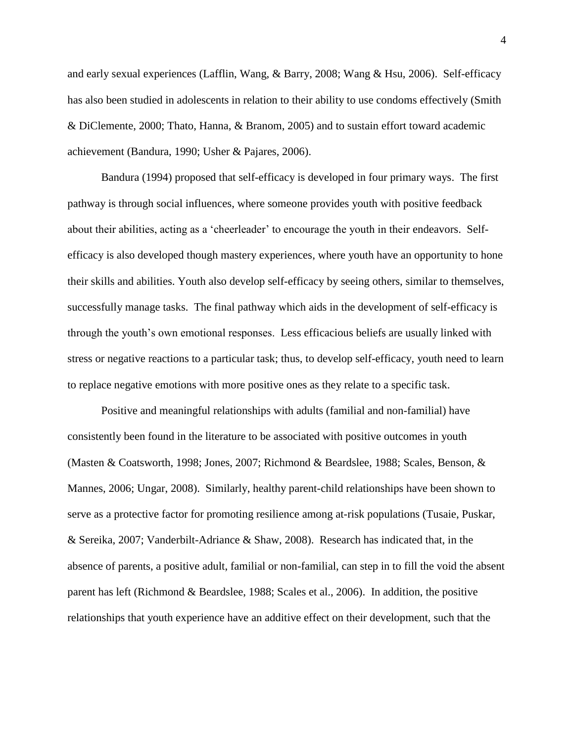and early sexual experiences (Lafflin, Wang, & Barry, 2008; Wang & Hsu, 2006). Self-efficacy has also been studied in adolescents in relation to their ability to use condoms effectively (Smith & DiClemente, 2000; Thato, Hanna, & Branom, 2005) and to sustain effort toward academic achievement (Bandura, 1990; Usher & Pajares, 2006).

Bandura (1994) proposed that self-efficacy is developed in four primary ways. The first pathway is through social influences, where someone provides youth with positive feedback about their abilities, acting as a 'cheerleader' to encourage the youth in their endeavors. Selfefficacy is also developed though mastery experiences, where youth have an opportunity to hone their skills and abilities. Youth also develop self-efficacy by seeing others, similar to themselves, successfully manage tasks. The final pathway which aids in the development of self-efficacy is through the youth's own emotional responses. Less efficacious beliefs are usually linked with stress or negative reactions to a particular task; thus, to develop self-efficacy, youth need to learn to replace negative emotions with more positive ones as they relate to a specific task.

Positive and meaningful relationships with adults (familial and non-familial) have consistently been found in the literature to be associated with positive outcomes in youth (Masten & Coatsworth, 1998; Jones, 2007; Richmond & Beardslee, 1988; Scales, Benson, & Mannes, 2006; Ungar, 2008). Similarly, healthy parent-child relationships have been shown to serve as a protective factor for promoting resilience among at-risk populations (Tusaie, Puskar, & Sereika, 2007; Vanderbilt-Adriance & Shaw, 2008). Research has indicated that, in the absence of parents, a positive adult, familial or non-familial, can step in to fill the void the absent parent has left (Richmond & Beardslee, 1988; Scales et al., 2006). In addition, the positive relationships that youth experience have an additive effect on their development, such that the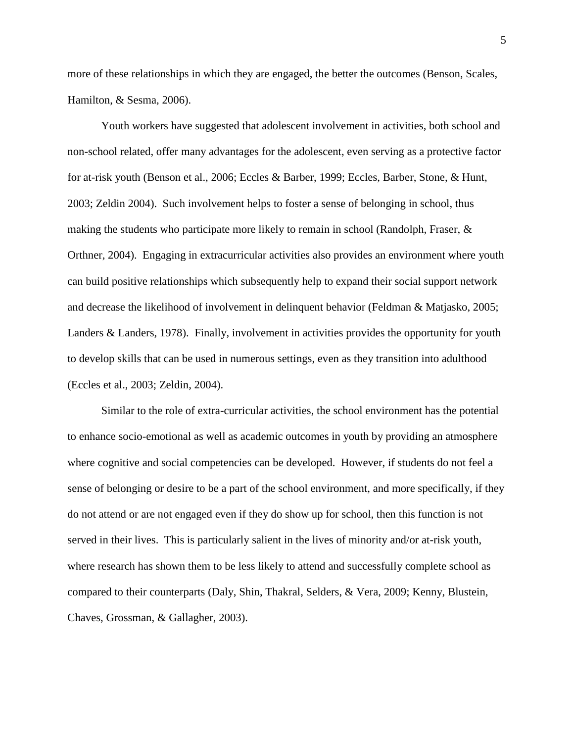more of these relationships in which they are engaged, the better the outcomes (Benson, Scales, Hamilton, & Sesma, 2006).

Youth workers have suggested that adolescent involvement in activities, both school and non-school related, offer many advantages for the adolescent, even serving as a protective factor for at-risk youth (Benson et al., 2006; Eccles & Barber, 1999; Eccles, Barber, Stone, & Hunt, 2003; Zeldin 2004). Such involvement helps to foster a sense of belonging in school, thus making the students who participate more likely to remain in school (Randolph, Fraser, & Orthner, 2004). Engaging in extracurricular activities also provides an environment where youth can build positive relationships which subsequently help to expand their social support network and decrease the likelihood of involvement in delinquent behavior (Feldman & Matjasko, 2005; Landers & Landers, 1978). Finally, involvement in activities provides the opportunity for youth to develop skills that can be used in numerous settings, even as they transition into adulthood (Eccles et al., 2003; Zeldin, 2004).

Similar to the role of extra-curricular activities, the school environment has the potential to enhance socio-emotional as well as academic outcomes in youth by providing an atmosphere where cognitive and social competencies can be developed. However, if students do not feel a sense of belonging or desire to be a part of the school environment, and more specifically, if they do not attend or are not engaged even if they do show up for school, then this function is not served in their lives. This is particularly salient in the lives of minority and/or at-risk youth, where research has shown them to be less likely to attend and successfully complete school as compared to their counterparts (Daly, Shin, Thakral, Selders, & Vera, 2009; Kenny, Blustein, Chaves, Grossman, & Gallagher, 2003).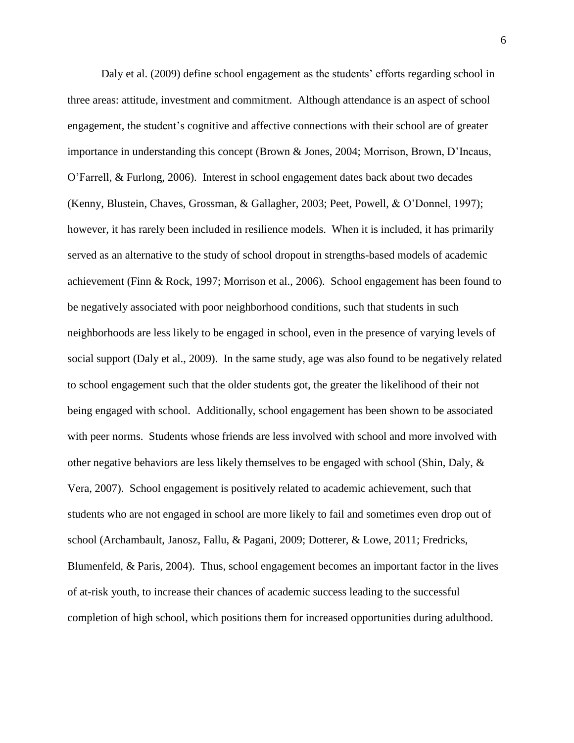Daly et al. (2009) define school engagement as the students' efforts regarding school in three areas: attitude, investment and commitment. Although attendance is an aspect of school engagement, the student's cognitive and affective connections with their school are of greater importance in understanding this concept (Brown & Jones, 2004; Morrison, Brown, D'Incaus, O'Farrell, & Furlong, 2006). Interest in school engagement dates back about two decades (Kenny, Blustein, Chaves, Grossman, & Gallagher, 2003; Peet, Powell, & O'Donnel, 1997); however, it has rarely been included in resilience models. When it is included, it has primarily served as an alternative to the study of school dropout in strengths-based models of academic achievement (Finn & Rock, 1997; Morrison et al., 2006). School engagement has been found to be negatively associated with poor neighborhood conditions, such that students in such neighborhoods are less likely to be engaged in school, even in the presence of varying levels of social support (Daly et al., 2009). In the same study, age was also found to be negatively related to school engagement such that the older students got, the greater the likelihood of their not being engaged with school. Additionally, school engagement has been shown to be associated with peer norms. Students whose friends are less involved with school and more involved with other negative behaviors are less likely themselves to be engaged with school (Shin, Daly, & Vera, 2007). School engagement is positively related to academic achievement, such that students who are not engaged in school are more likely to fail and sometimes even drop out of school (Archambault, Janosz, Fallu, & Pagani, 2009; Dotterer, & Lowe, 2011; Fredricks, Blumenfeld, & Paris, 2004). Thus, school engagement becomes an important factor in the lives of at-risk youth, to increase their chances of academic success leading to the successful completion of high school, which positions them for increased opportunities during adulthood.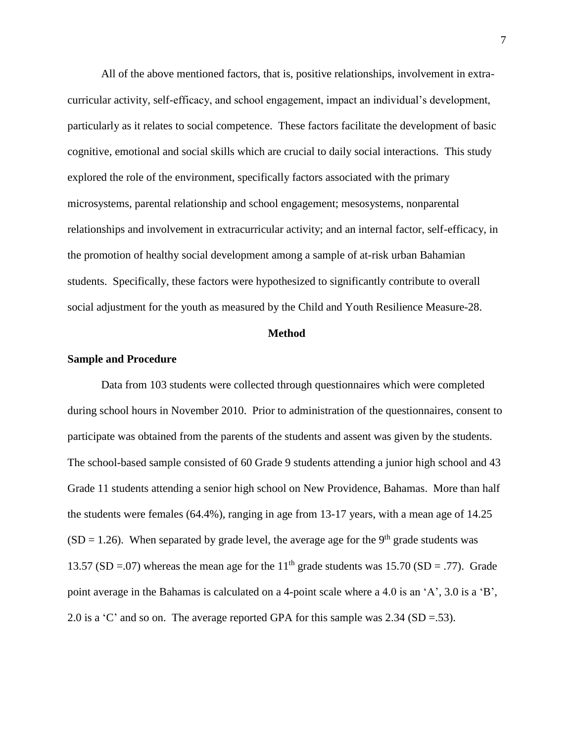All of the above mentioned factors, that is, positive relationships, involvement in extracurricular activity, self-efficacy, and school engagement, impact an individual's development, particularly as it relates to social competence. These factors facilitate the development of basic cognitive, emotional and social skills which are crucial to daily social interactions. This study explored the role of the environment, specifically factors associated with the primary microsystems, parental relationship and school engagement; mesosystems, nonparental relationships and involvement in extracurricular activity; and an internal factor, self-efficacy, in the promotion of healthy social development among a sample of at-risk urban Bahamian students. Specifically, these factors were hypothesized to significantly contribute to overall social adjustment for the youth as measured by the Child and Youth Resilience Measure-28.

#### **Method**

#### **Sample and Procedure**

Data from 103 students were collected through questionnaires which were completed during school hours in November 2010. Prior to administration of the questionnaires, consent to participate was obtained from the parents of the students and assent was given by the students. The school-based sample consisted of 60 Grade 9 students attending a junior high school and 43 Grade 11 students attending a senior high school on New Providence, Bahamas. More than half the students were females (64.4%), ranging in age from 13-17 years, with a mean age of 14.25  $(SD = 1.26)$ . When separated by grade level, the average age for the 9<sup>th</sup> grade students was 13.57 (SD =.07) whereas the mean age for the 11<sup>th</sup> grade students was 15.70 (SD = .77). Grade point average in the Bahamas is calculated on a 4-point scale where a 4.0 is an 'A', 3.0 is a 'B', 2.0 is a 'C' and so on. The average reported GPA for this sample was  $2.34$  (SD = .53).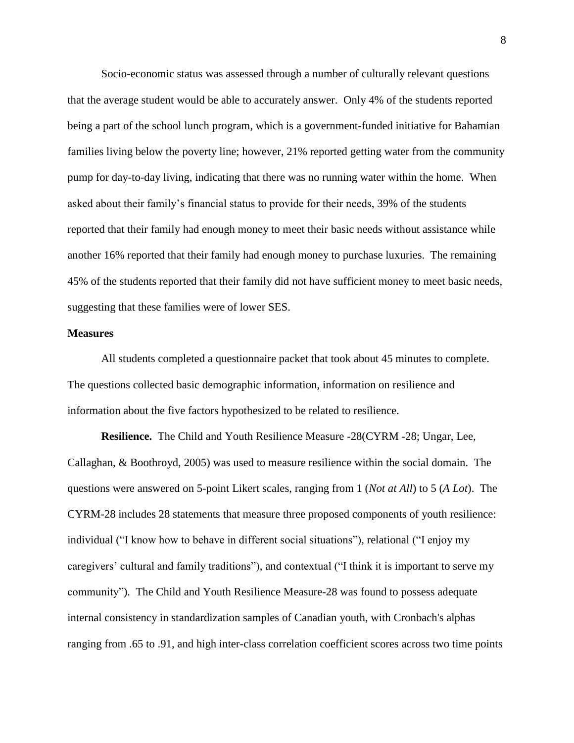Socio-economic status was assessed through a number of culturally relevant questions that the average student would be able to accurately answer. Only 4% of the students reported being a part of the school lunch program, which is a government-funded initiative for Bahamian families living below the poverty line; however, 21% reported getting water from the community pump for day-to-day living, indicating that there was no running water within the home. When asked about their family's financial status to provide for their needs, 39% of the students reported that their family had enough money to meet their basic needs without assistance while another 16% reported that their family had enough money to purchase luxuries. The remaining 45% of the students reported that their family did not have sufficient money to meet basic needs, suggesting that these families were of lower SES.

#### **Measures**

All students completed a questionnaire packet that took about 45 minutes to complete. The questions collected basic demographic information, information on resilience and information about the five factors hypothesized to be related to resilience.

**Resilience.** The Child and Youth Resilience Measure -28(CYRM -28; Ungar, Lee, Callaghan, & Boothroyd, 2005) was used to measure resilience within the social domain. The questions were answered on 5-point Likert scales, ranging from 1 (*Not at All*) to 5 (*A Lot*). The CYRM-28 includes 28 statements that measure three proposed components of youth resilience: individual ("I know how to behave in different social situations"), relational ("I enjoy my caregivers' cultural and family traditions"), and contextual ("I think it is important to serve my community"). The Child and Youth Resilience Measure-28 was found to possess adequate internal consistency in standardization samples of Canadian youth, with Cronbach's alphas ranging from .65 to .91, and high inter-class correlation coefficient scores across two time points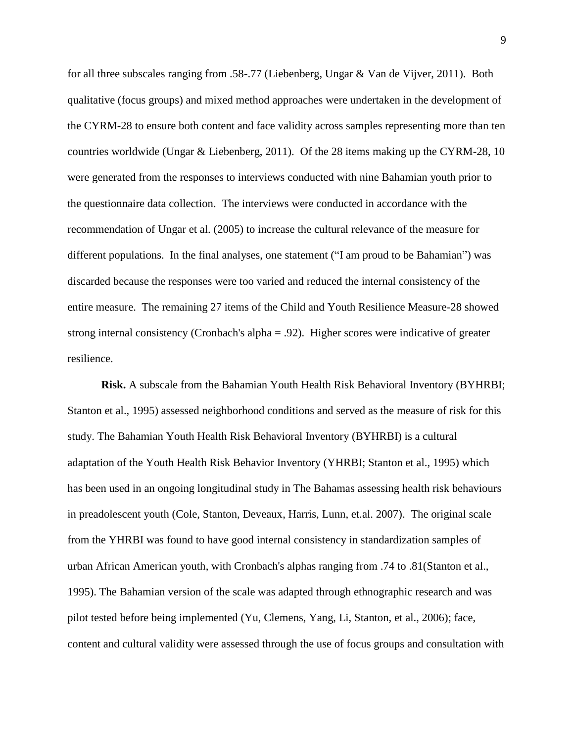for all three subscales ranging from .58-.77 (Liebenberg, Ungar & Van de Vijver, 2011). Both qualitative (focus groups) and mixed method approaches were undertaken in the development of the CYRM-28 to ensure both content and face validity across samples representing more than ten countries worldwide (Ungar & Liebenberg, 2011). Of the 28 items making up the CYRM-28, 10 were generated from the responses to interviews conducted with nine Bahamian youth prior to the questionnaire data collection. The interviews were conducted in accordance with the recommendation of Ungar et al. (2005) to increase the cultural relevance of the measure for different populations. In the final analyses, one statement ("I am proud to be Bahamian") was discarded because the responses were too varied and reduced the internal consistency of the entire measure. The remaining 27 items of the Child and Youth Resilience Measure-28 showed strong internal consistency (Cronbach's alpha = .92). Higher scores were indicative of greater resilience.

**Risk.** A subscale from the Bahamian Youth Health Risk Behavioral Inventory (BYHRBI; Stanton et al., 1995) assessed neighborhood conditions and served as the measure of risk for this study. The Bahamian Youth Health Risk Behavioral Inventory (BYHRBI) is a cultural adaptation of the Youth Health Risk Behavior Inventory (YHRBI; Stanton et al., 1995) which has been used in an ongoing longitudinal study in The Bahamas assessing health risk behaviours in preadolescent youth (Cole, Stanton, Deveaux, Harris, Lunn, et.al. 2007). The original scale from the YHRBI was found to have good internal consistency in standardization samples of urban African American youth, with Cronbach's alphas ranging from .74 to .81(Stanton et al., 1995). The Bahamian version of the scale was adapted through ethnographic research and was pilot tested before being implemented (Yu, Clemens, Yang, Li, Stanton, et al., 2006); face, content and cultural validity were assessed through the use of focus groups and consultation with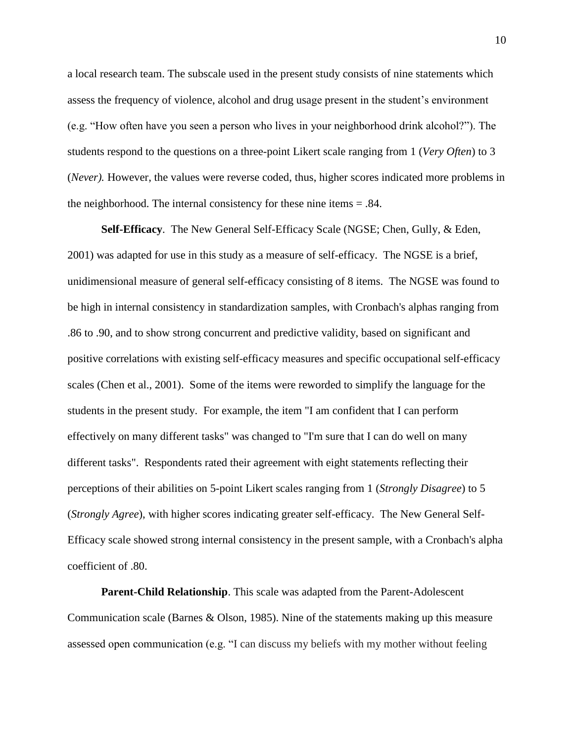a local research team. The subscale used in the present study consists of nine statements which assess the frequency of violence, alcohol and drug usage present in the student's environment (e.g. "How often have you seen a person who lives in your neighborhood drink alcohol?"). The students respond to the questions on a three-point Likert scale ranging from 1 (*Very Often*) to 3 (*Never).* However, the values were reverse coded, thus, higher scores indicated more problems in the neighborhood. The internal consistency for these nine items = .84.

**Self-Efficacy**. The New General Self-Efficacy Scale (NGSE; Chen, Gully, & Eden, 2001) was adapted for use in this study as a measure of self-efficacy. The NGSE is a brief, unidimensional measure of general self-efficacy consisting of 8 items. The NGSE was found to be high in internal consistency in standardization samples, with Cronbach's alphas ranging from .86 to .90, and to show strong concurrent and predictive validity, based on significant and positive correlations with existing self-efficacy measures and specific occupational self-efficacy scales (Chen et al., 2001). Some of the items were reworded to simplify the language for the students in the present study. For example, the item "I am confident that I can perform effectively on many different tasks" was changed to "I'm sure that I can do well on many different tasks". Respondents rated their agreement with eight statements reflecting their perceptions of their abilities on 5-point Likert scales ranging from 1 (*Strongly Disagree*) to 5 (*Strongly Agree*), with higher scores indicating greater self-efficacy. The New General Self-Efficacy scale showed strong internal consistency in the present sample, with a Cronbach's alpha coefficient of .80.

**Parent-Child Relationship**. This scale was adapted from the Parent-Adolescent Communication scale (Barnes & Olson, 1985). Nine of the statements making up this measure assessed open communication (e.g. "I can discuss my beliefs with my mother without feeling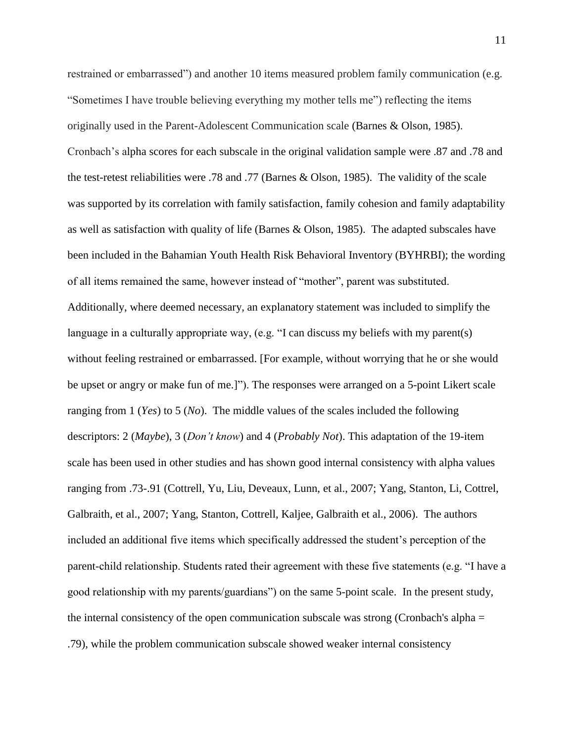restrained or embarrassed") and another 10 items measured problem family communication (e.g. "Sometimes I have trouble believing everything my mother tells me") reflecting the items originally used in the Parent-Adolescent Communication scale (Barnes & Olson, 1985). Cronbach's alpha scores for each subscale in the original validation sample were .87 and .78 and the test-retest reliabilities were .78 and .77 (Barnes & Olson, 1985). The validity of the scale was supported by its correlation with family satisfaction, family cohesion and family adaptability as well as satisfaction with quality of life (Barnes & Olson, 1985). The adapted subscales have been included in the Bahamian Youth Health Risk Behavioral Inventory (BYHRBI); the wording of all items remained the same, however instead of "mother", parent was substituted. Additionally, where deemed necessary, an explanatory statement was included to simplify the language in a culturally appropriate way, (e.g. "I can discuss my beliefs with my parent(s) without feeling restrained or embarrassed. [For example, without worrying that he or she would be upset or angry or make fun of me.]"). The responses were arranged on a 5-point Likert scale ranging from 1 (*Yes*) to 5 (*No*). The middle values of the scales included the following descriptors: 2 (*Maybe*), 3 (*Don't know*) and 4 (*Probably Not*). This adaptation of the 19-item scale has been used in other studies and has shown good internal consistency with alpha values ranging from .73-.91 (Cottrell, Yu, Liu, Deveaux, Lunn, et al., 2007; Yang, Stanton, Li, Cottrel, Galbraith, et al., 2007; Yang, Stanton, Cottrell, Kaljee, Galbraith et al., 2006). The authors included an additional five items which specifically addressed the student's perception of the parent-child relationship. Students rated their agreement with these five statements (e.g. "I have a good relationship with my parents/guardians") on the same 5-point scale. In the present study, the internal consistency of the open communication subscale was strong (Cronbach's alpha = .79), while the problem communication subscale showed weaker internal consistency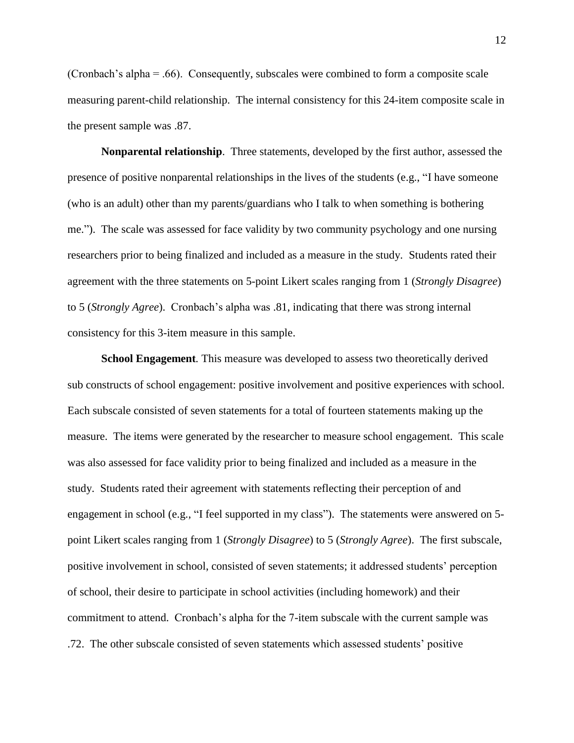(Cronbach's alpha = .66). Consequently, subscales were combined to form a composite scale measuring parent-child relationship. The internal consistency for this 24-item composite scale in the present sample was .87.

**Nonparental relationship**. Three statements, developed by the first author, assessed the presence of positive nonparental relationships in the lives of the students (e.g., "I have someone (who is an adult) other than my parents/guardians who I talk to when something is bothering me."). The scale was assessed for face validity by two community psychology and one nursing researchers prior to being finalized and included as a measure in the study. Students rated their agreement with the three statements on 5-point Likert scales ranging from 1 (*Strongly Disagree*) to 5 (*Strongly Agree*). Cronbach's alpha was .81, indicating that there was strong internal consistency for this 3-item measure in this sample.

**School Engagement***.* This measure was developed to assess two theoretically derived sub constructs of school engagement: positive involvement and positive experiences with school. Each subscale consisted of seven statements for a total of fourteen statements making up the measure. The items were generated by the researcher to measure school engagement. This scale was also assessed for face validity prior to being finalized and included as a measure in the study. Students rated their agreement with statements reflecting their perception of and engagement in school (e.g., "I feel supported in my class"). The statements were answered on 5 point Likert scales ranging from 1 (*Strongly Disagree*) to 5 (*Strongly Agree*). The first subscale, positive involvement in school, consisted of seven statements; it addressed students' perception of school, their desire to participate in school activities (including homework) and their commitment to attend. Cronbach's alpha for the 7-item subscale with the current sample was .72. The other subscale consisted of seven statements which assessed students' positive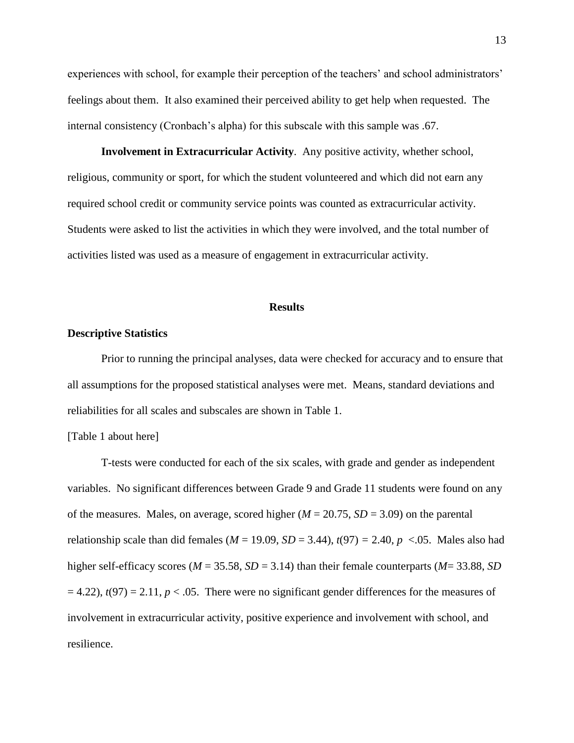experiences with school, for example their perception of the teachers' and school administrators' feelings about them. It also examined their perceived ability to get help when requested. The internal consistency (Cronbach's alpha) for this subscale with this sample was .67.

**Involvement in Extracurricular Activity**. Any positive activity, whether school, religious, community or sport, for which the student volunteered and which did not earn any required school credit or community service points was counted as extracurricular activity. Students were asked to list the activities in which they were involved, and the total number of activities listed was used as a measure of engagement in extracurricular activity.

#### **Results**

#### **Descriptive Statistics**

Prior to running the principal analyses, data were checked for accuracy and to ensure that all assumptions for the proposed statistical analyses were met. Means, standard deviations and reliabilities for all scales and subscales are shown in Table 1.

#### [Table 1 about here]

T-tests were conducted for each of the six scales, with grade and gender as independent variables. No significant differences between Grade 9 and Grade 11 students were found on any of the measures. Males, on average, scored higher ( $M = 20.75$ ,  $SD = 3.09$ ) on the parental relationship scale than did females ( $M = 19.09$ ,  $SD = 3.44$ ),  $t(97) = 2.40$ ,  $p < .05$ . Males also had higher self-efficacy scores ( $M = 35.58$ ,  $SD = 3.14$ ) than their female counterparts ( $M = 33.88$ ,  $SD$ )  $t = 4.22$ ),  $t(97) = 2.11$ ,  $p < .05$ . There were no significant gender differences for the measures of involvement in extracurricular activity, positive experience and involvement with school, and resilience.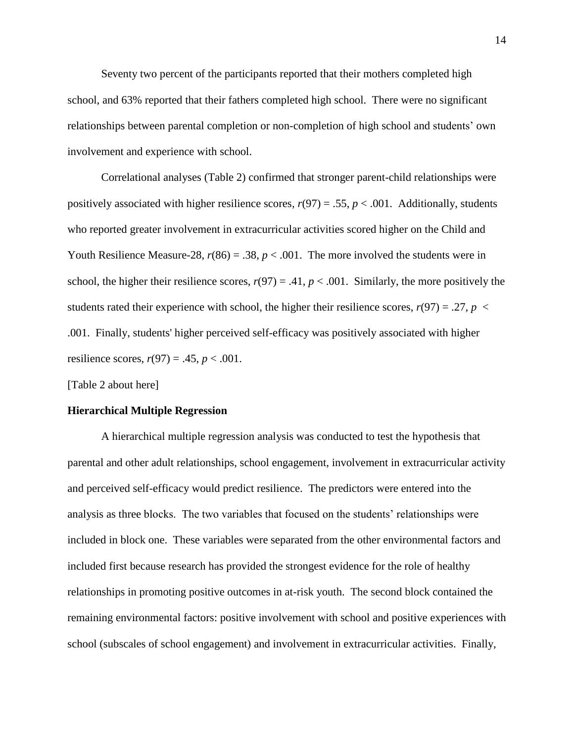Seventy two percent of the participants reported that their mothers completed high school, and 63% reported that their fathers completed high school. There were no significant relationships between parental completion or non-completion of high school and students' own involvement and experience with school.

Correlational analyses (Table 2) confirmed that stronger parent-child relationships were positively associated with higher resilience scores,  $r(97) = .55$ ,  $p < .001$ . Additionally, students who reported greater involvement in extracurricular activities scored higher on the Child and Youth Resilience Measure-28,  $r(86) = .38$ ,  $p < .001$ . The more involved the students were in school, the higher their resilience scores,  $r(97) = .41$ ,  $p < .001$ . Similarly, the more positively the students rated their experience with school, the higher their resilience scores,  $r(97) = .27$ ,  $p <$ .001. Finally, students' higher perceived self-efficacy was positively associated with higher resilience scores,  $r(97) = .45, p < .001$ .

[Table 2 about here]

#### **Hierarchical Multiple Regression**

A hierarchical multiple regression analysis was conducted to test the hypothesis that parental and other adult relationships, school engagement, involvement in extracurricular activity and perceived self-efficacy would predict resilience. The predictors were entered into the analysis as three blocks. The two variables that focused on the students' relationships were included in block one. These variables were separated from the other environmental factors and included first because research has provided the strongest evidence for the role of healthy relationships in promoting positive outcomes in at-risk youth. The second block contained the remaining environmental factors: positive involvement with school and positive experiences with school (subscales of school engagement) and involvement in extracurricular activities. Finally,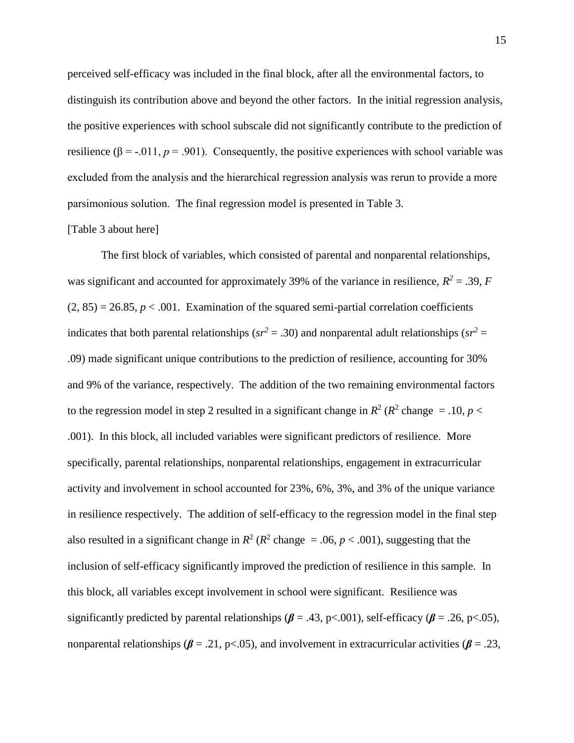perceived self-efficacy was included in the final block, after all the environmental factors, to distinguish its contribution above and beyond the other factors. In the initial regression analysis, the positive experiences with school subscale did not significantly contribute to the prediction of resilience ( $\beta$  = -.011,  $p = .901$ ). Consequently, the positive experiences with school variable was excluded from the analysis and the hierarchical regression analysis was rerun to provide a more parsimonious solution. The final regression model is presented in Table 3.

#### [Table 3 about here]

The first block of variables, which consisted of parental and nonparental relationships, was significant and accounted for approximately 39% of the variance in resilience,  $R^2 = .39$ , *F*  $(2, 85) = 26.85$ ,  $p < .001$ . Examination of the squared semi-partial correlation coefficients indicates that both parental relationships ( $sr^2 = .30$ ) and nonparental adult relationships ( $sr^2 =$ .09) made significant unique contributions to the prediction of resilience, accounting for 30% and 9% of the variance, respectively. The addition of the two remaining environmental factors to the regression model in step 2 resulted in a significant change in  $R^2$  ( $R^2$  change = .10,  $p$  < .001). In this block, all included variables were significant predictors of resilience. More specifically, parental relationships, nonparental relationships, engagement in extracurricular activity and involvement in school accounted for 23%, 6%, 3%, and 3% of the unique variance in resilience respectively. The addition of self-efficacy to the regression model in the final step also resulted in a significant change in  $R^2$  ( $R^2$  change = .06,  $p < .001$ ), suggesting that the inclusion of self-efficacy significantly improved the prediction of resilience in this sample. In this block, all variables except involvement in school were significant. Resilience was significantly predicted by parental relationships ( $\beta$  = .43, p<.001), self-efficacy ( $\beta$  = .26, p<.05), nonparental relationships ( $\beta$  = .21, p<.05), and involvement in extracurricular activities ( $\beta$  = .23,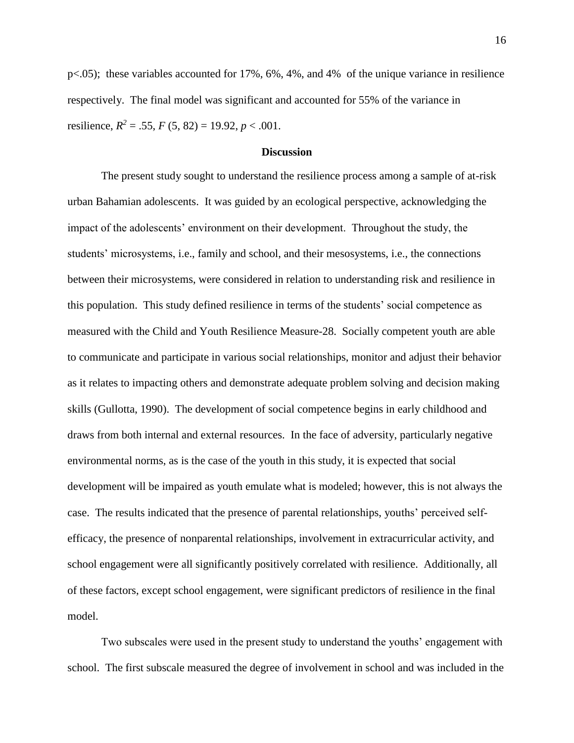p<.05); these variables accounted for 17%, 6%, 4%, and 4% of the unique variance in resilience respectively. The final model was significant and accounted for 55% of the variance in resilience,  $R^2 = .55$ ,  $F(5, 82) = 19.92$ ,  $p < .001$ .

#### **Discussion**

The present study sought to understand the resilience process among a sample of at-risk urban Bahamian adolescents. It was guided by an ecological perspective, acknowledging the impact of the adolescents' environment on their development. Throughout the study, the students' microsystems, i.e., family and school, and their mesosystems, i.e., the connections between their microsystems, were considered in relation to understanding risk and resilience in this population. This study defined resilience in terms of the students' social competence as measured with the Child and Youth Resilience Measure-28. Socially competent youth are able to communicate and participate in various social relationships, monitor and adjust their behavior as it relates to impacting others and demonstrate adequate problem solving and decision making skills (Gullotta, 1990). The development of social competence begins in early childhood and draws from both internal and external resources. In the face of adversity, particularly negative environmental norms, as is the case of the youth in this study, it is expected that social development will be impaired as youth emulate what is modeled; however, this is not always the case. The results indicated that the presence of parental relationships, youths' perceived selfefficacy, the presence of nonparental relationships, involvement in extracurricular activity, and school engagement were all significantly positively correlated with resilience. Additionally, all of these factors, except school engagement, were significant predictors of resilience in the final model.

Two subscales were used in the present study to understand the youths' engagement with school. The first subscale measured the degree of involvement in school and was included in the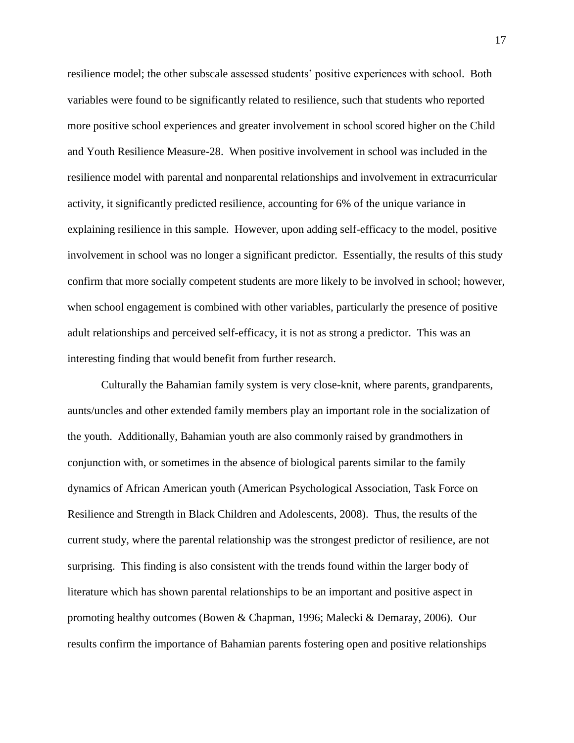resilience model; the other subscale assessed students' positive experiences with school. Both variables were found to be significantly related to resilience, such that students who reported more positive school experiences and greater involvement in school scored higher on the Child and Youth Resilience Measure-28. When positive involvement in school was included in the resilience model with parental and nonparental relationships and involvement in extracurricular activity, it significantly predicted resilience, accounting for 6% of the unique variance in explaining resilience in this sample. However, upon adding self-efficacy to the model, positive involvement in school was no longer a significant predictor. Essentially, the results of this study confirm that more socially competent students are more likely to be involved in school; however, when school engagement is combined with other variables, particularly the presence of positive adult relationships and perceived self-efficacy, it is not as strong a predictor. This was an interesting finding that would benefit from further research.

Culturally the Bahamian family system is very close-knit, where parents, grandparents, aunts/uncles and other extended family members play an important role in the socialization of the youth. Additionally, Bahamian youth are also commonly raised by grandmothers in conjunction with, or sometimes in the absence of biological parents similar to the family dynamics of African American youth (American Psychological Association, Task Force on Resilience and Strength in Black Children and Adolescents, 2008). Thus, the results of the current study, where the parental relationship was the strongest predictor of resilience, are not surprising. This finding is also consistent with the trends found within the larger body of literature which has shown parental relationships to be an important and positive aspect in promoting healthy outcomes (Bowen & Chapman, 1996; Malecki & Demaray, 2006). Our results confirm the importance of Bahamian parents fostering open and positive relationships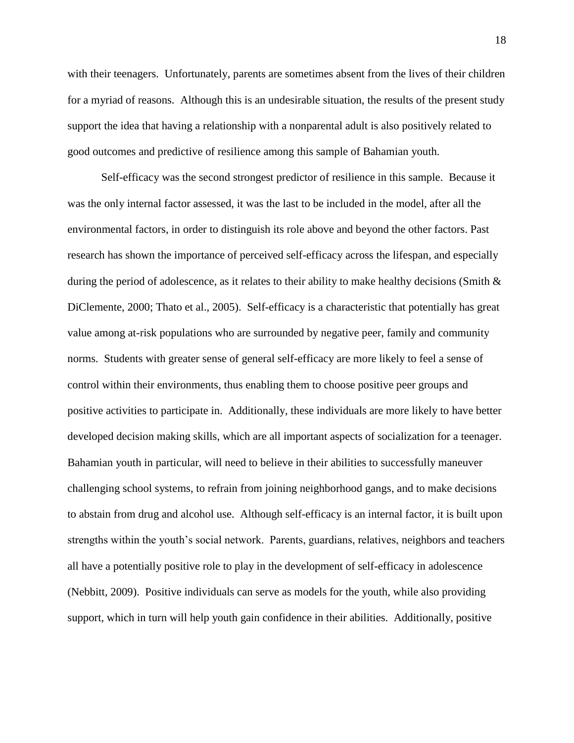with their teenagers. Unfortunately, parents are sometimes absent from the lives of their children for a myriad of reasons. Although this is an undesirable situation, the results of the present study support the idea that having a relationship with a nonparental adult is also positively related to good outcomes and predictive of resilience among this sample of Bahamian youth.

Self-efficacy was the second strongest predictor of resilience in this sample. Because it was the only internal factor assessed, it was the last to be included in the model, after all the environmental factors, in order to distinguish its role above and beyond the other factors. Past research has shown the importance of perceived self-efficacy across the lifespan, and especially during the period of adolescence, as it relates to their ability to make healthy decisions (Smith  $\&$ DiClemente, 2000; Thato et al., 2005). Self-efficacy is a characteristic that potentially has great value among at-risk populations who are surrounded by negative peer, family and community norms. Students with greater sense of general self-efficacy are more likely to feel a sense of control within their environments, thus enabling them to choose positive peer groups and positive activities to participate in. Additionally, these individuals are more likely to have better developed decision making skills, which are all important aspects of socialization for a teenager. Bahamian youth in particular, will need to believe in their abilities to successfully maneuver challenging school systems, to refrain from joining neighborhood gangs, and to make decisions to abstain from drug and alcohol use. Although self-efficacy is an internal factor, it is built upon strengths within the youth's social network. Parents, guardians, relatives, neighbors and teachers all have a potentially positive role to play in the development of self-efficacy in adolescence (Nebbitt, 2009). Positive individuals can serve as models for the youth, while also providing support, which in turn will help youth gain confidence in their abilities. Additionally, positive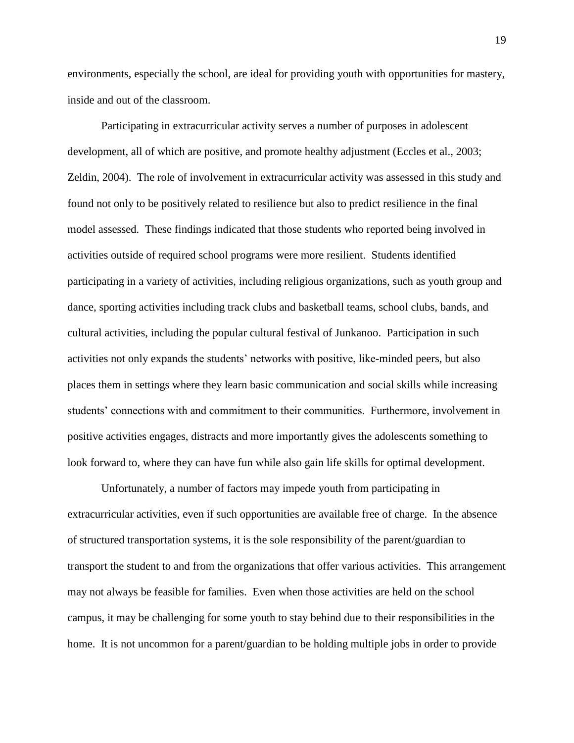environments, especially the school, are ideal for providing youth with opportunities for mastery, inside and out of the classroom.

Participating in extracurricular activity serves a number of purposes in adolescent development, all of which are positive, and promote healthy adjustment (Eccles et al., 2003; Zeldin, 2004). The role of involvement in extracurricular activity was assessed in this study and found not only to be positively related to resilience but also to predict resilience in the final model assessed. These findings indicated that those students who reported being involved in activities outside of required school programs were more resilient. Students identified participating in a variety of activities, including religious organizations, such as youth group and dance, sporting activities including track clubs and basketball teams, school clubs, bands, and cultural activities, including the popular cultural festival of Junkanoo. Participation in such activities not only expands the students' networks with positive, like-minded peers, but also places them in settings where they learn basic communication and social skills while increasing students' connections with and commitment to their communities. Furthermore, involvement in positive activities engages, distracts and more importantly gives the adolescents something to look forward to, where they can have fun while also gain life skills for optimal development.

Unfortunately, a number of factors may impede youth from participating in extracurricular activities, even if such opportunities are available free of charge. In the absence of structured transportation systems, it is the sole responsibility of the parent/guardian to transport the student to and from the organizations that offer various activities. This arrangement may not always be feasible for families. Even when those activities are held on the school campus, it may be challenging for some youth to stay behind due to their responsibilities in the home. It is not uncommon for a parent/guardian to be holding multiple jobs in order to provide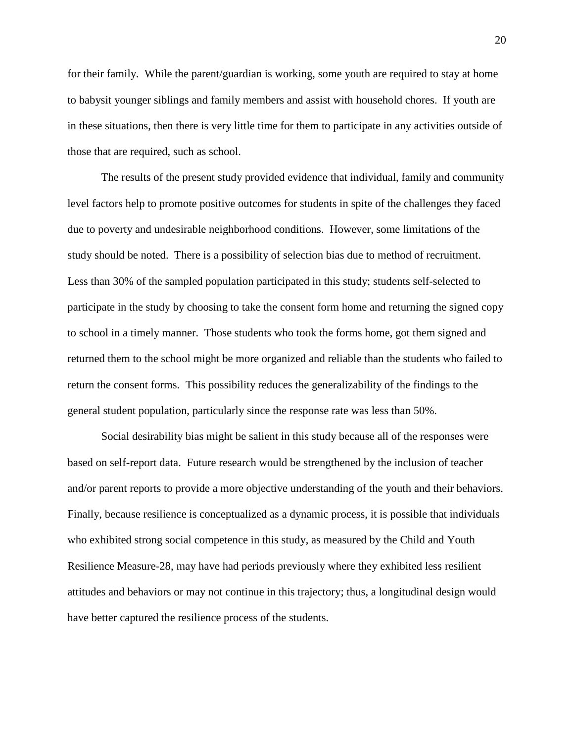for their family. While the parent/guardian is working, some youth are required to stay at home to babysit younger siblings and family members and assist with household chores. If youth are in these situations, then there is very little time for them to participate in any activities outside of those that are required, such as school.

The results of the present study provided evidence that individual, family and community level factors help to promote positive outcomes for students in spite of the challenges they faced due to poverty and undesirable neighborhood conditions. However, some limitations of the study should be noted. There is a possibility of selection bias due to method of recruitment. Less than 30% of the sampled population participated in this study; students self-selected to participate in the study by choosing to take the consent form home and returning the signed copy to school in a timely manner. Those students who took the forms home, got them signed and returned them to the school might be more organized and reliable than the students who failed to return the consent forms. This possibility reduces the generalizability of the findings to the general student population, particularly since the response rate was less than 50%.

Social desirability bias might be salient in this study because all of the responses were based on self-report data. Future research would be strengthened by the inclusion of teacher and/or parent reports to provide a more objective understanding of the youth and their behaviors. Finally, because resilience is conceptualized as a dynamic process, it is possible that individuals who exhibited strong social competence in this study, as measured by the Child and Youth Resilience Measure-28, may have had periods previously where they exhibited less resilient attitudes and behaviors or may not continue in this trajectory; thus, a longitudinal design would have better captured the resilience process of the students.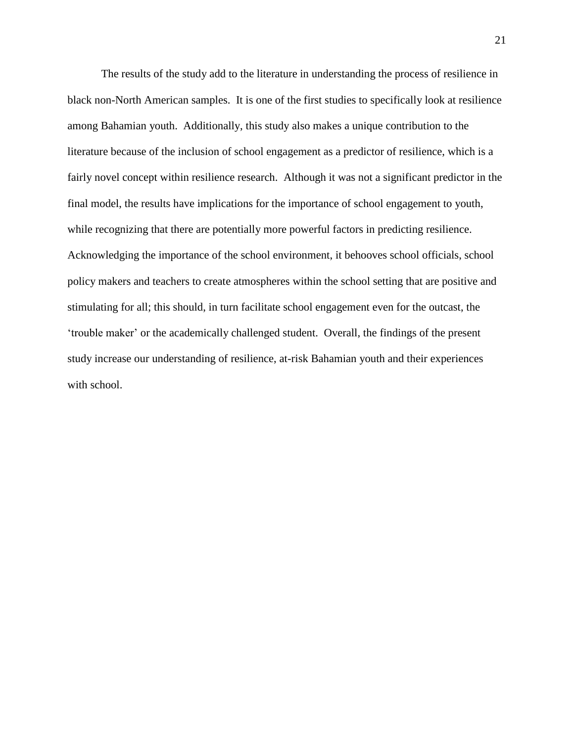The results of the study add to the literature in understanding the process of resilience in black non-North American samples. It is one of the first studies to specifically look at resilience among Bahamian youth. Additionally, this study also makes a unique contribution to the literature because of the inclusion of school engagement as a predictor of resilience, which is a fairly novel concept within resilience research. Although it was not a significant predictor in the final model, the results have implications for the importance of school engagement to youth, while recognizing that there are potentially more powerful factors in predicting resilience. Acknowledging the importance of the school environment, it behooves school officials, school policy makers and teachers to create atmospheres within the school setting that are positive and stimulating for all; this should, in turn facilitate school engagement even for the outcast, the 'trouble maker' or the academically challenged student. Overall, the findings of the present study increase our understanding of resilience, at-risk Bahamian youth and their experiences with school.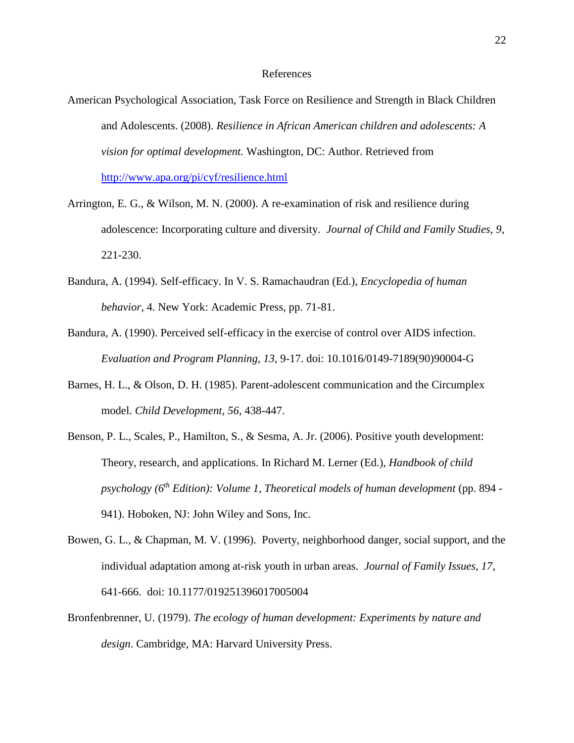#### References

- American Psychological Association, Task Force on Resilience and Strength in Black Children and Adolescents. (2008). *Resilience in African American children and adolescents: A vision for optimal development.* Washington, DC: Author. Retrieved from <http://www.apa.org/pi/cyf/resilience.html>
- Arrington, E. G., & Wilson, M. N. (2000). A re-examination of risk and resilience during adolescence: Incorporating culture and diversity. *Journal of Child and Family Studies, 9*, 221-230.
- Bandura, A. (1994). Self-efficacy. In V. S. Ramachaudran (Ed.), *Encyclopedia of human behavior*, 4. New York: Academic Press, pp. 71-81.
- Bandura, A. (1990). Perceived self-efficacy in the exercise of control over AIDS infection. *Evaluation and Program Planning, 13*, 9-17. doi: 10.1016/0149-7189(90)90004-G
- Barnes, H. L., & Olson, D. H. (1985). Parent-adolescent communication and the Circumplex model. *Child Development, 56*, 438-447.
- Benson, P. L., Scales, P., Hamilton, S., & Sesma, A. Jr. (2006). Positive youth development: Theory, research, and applications. In Richard M. Lerner (Ed.), *Handbook of child psychology (6th Edition): Volume 1, Theoretical models of human development* (pp. 894 - 941). Hoboken*,* NJ: John Wiley and Sons, Inc.
- Bowen, G. L., & Chapman, M. V. (1996). Poverty, neighborhood danger, social support, and the individual adaptation among at-risk youth in urban areas. *Journal of Family Issues, 17*, 641-666. doi: 10.1177/019251396017005004
- Bronfenbrenner, U. (1979). *The ecology of human development: Experiments by nature and design*. Cambridge, MA: Harvard University Press.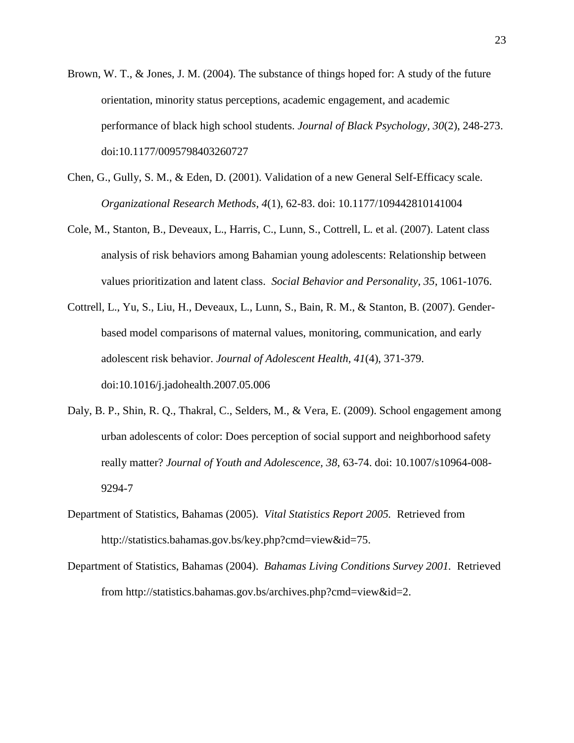- Brown, W. T., & Jones, J. M. (2004). The substance of things hoped for: A study of the future orientation, minority status perceptions, academic engagement, and academic performance of black high school students. *Journal of Black Psychology, 30*(2), 248-273. doi:10.1177/0095798403260727
- Chen, G., Gully, S. M., & Eden, D. (2001). Validation of a new General Self-Efficacy scale. *Organizational Research Methods*, *4*(1), 62-83. doi: 10.1177/109442810141004
- Cole, M., Stanton, B., Deveaux, L., Harris, C., Lunn, S., Cottrell, L. et al. (2007). Latent class analysis of risk behaviors among Bahamian young adolescents: Relationship between values prioritization and latent class. *Social Behavior and Personality, 35*, 1061-1076.
- Cottrell, L., Yu, S., Liu, H., Deveaux, L., Lunn, S., Bain, R. M., & Stanton, B. (2007). Genderbased model comparisons of maternal values, monitoring, communication, and early adolescent risk behavior. *Journal of Adolescent Health, 41*(4), 371-379. doi:10.1016/j.jadohealth.2007.05.006
- Daly, B. P., Shin, R. Q., Thakral, C., Selders, M., & Vera, E. (2009). School engagement among urban adolescents of color: Does perception of social support and neighborhood safety really matter? *Journal of Youth and Adolescence, 38*, 63-74. doi: 10.1007/s10964-008- 9294-7
- Department of Statistics, Bahamas (2005). *Vital Statistics Report 2005.* Retrieved from http://statistics.bahamas.gov.bs/key.php?cmd=view&id=75.
- Department of Statistics, Bahamas (2004). *Bahamas Living Conditions Survey 2001.* Retrieved from http://statistics.bahamas.gov.bs/archives.php?cmd=view&id=2.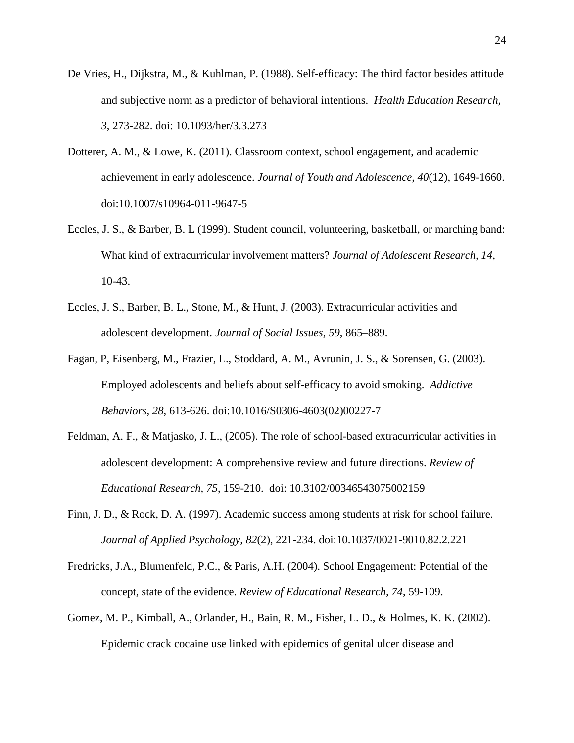- De Vries, H., Dijkstra, M., & Kuhlman, P. (1988). Self-efficacy: The third factor besides attitude and subjective norm as a predictor of behavioral intentions. *Health Education Research, 3*, 273-282. doi: 10.1093/her/3.3.273
- Dotterer, A. M., & Lowe, K. (2011). Classroom context, school engagement, and academic achievement in early adolescence. *Journal of Youth and Adolescence, 40*(12), 1649-1660. doi:10.1007/s10964-011-9647-5
- Eccles, J. S., & Barber, B. L (1999). Student council, volunteering, basketball, or marching band: What kind of extracurricular involvement matters? *Journal of Adolescent Research, 14,* 10-43.
- Eccles, J. S., Barber, B. L., Stone, M., & Hunt, J. (2003). Extracurricular activities and adolescent development. *Journal of Social Issues, 59*, 865–889.
- [Fagan, P,](http://search3.scholarsportal.info.ezproxy.uwindsor.ca/ids70/p_search_form.php?field=au&query=fagan+pebbles&log=literal&SID=0502107b01e56f46ea08dc101c7f155b) Eisenberg, M., Frazier, L., [Stoddard, A. M.,](http://search3.scholarsportal.info.ezproxy.uwindsor.ca/ids70/p_search_form.php?field=au&query=stoddard+anne+m&log=literal&SID=0502107b01e56f46ea08dc101c7f155b) [Avrunin, J. S.,](http://search3.scholarsportal.info.ezproxy.uwindsor.ca/ids70/p_search_form.php?field=au&query=avrunin+jill+s&log=literal&SID=0502107b01e56f46ea08dc101c7f155b) & [Sorensen, G.](http://search3.scholarsportal.info.ezproxy.uwindsor.ca/ids70/p_search_form.php?field=au&query=sorensen+glorian&log=literal&SID=0502107b01e56f46ea08dc101c7f155b) (2003). Employed adolescents and beliefs about self-efficacy to avoid smoking. *Addictive Behaviors, 28*, 613-626. doi:10.1016/S0306-4603(02)00227-7
- Feldman, A. F., & Matjasko, J. L., (2005). The role of school-based extracurricular activities in adolescent development: A comprehensive review and future directions. *Review of Educational Research, 75*, 159-210. doi: 10.3102/00346543075002159
- Finn, J. D., & Rock, D. A. (1997). Academic success among students at risk for school failure. *Journal of Applied Psychology, 82*(2), 221-234. doi:10.1037/0021-9010.82.2.221
- Fredricks, J.A., Blumenfeld, P.C., & Paris, A.H. (2004). School Engagement: Potential of the concept, state of the evidence. *Review of Educational Research, 74*, 59-109.
- Gomez, M. P., Kimball, A., Orlander, H., Bain, R. M., Fisher, L. D., & Holmes, K. K. (2002). Epidemic crack cocaine use linked with epidemics of genital ulcer disease and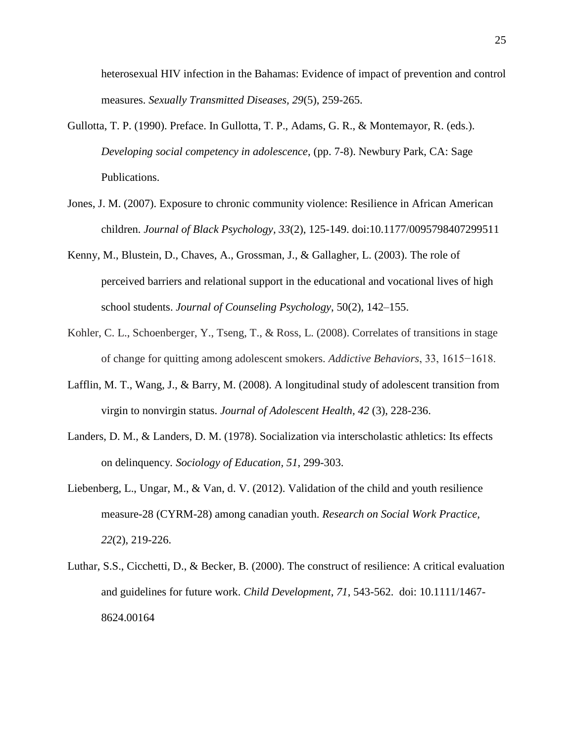heterosexual HIV infection in the Bahamas: Evidence of impact of prevention and control measures. *Sexually Transmitted Diseases, 29*(5), 259-265.

- Gullotta, T. P. (1990). Preface. In Gullotta, T. P., Adams, G. R., & Montemayor, R. (eds.). *Developing social competency in adolescence*, (pp. 7-8). Newbury Park, CA: Sage Publications.
- Jones, J. M. (2007). Exposure to chronic community violence: Resilience in African American children. *Journal of Black Psychology, 33*(2), 125-149. doi:10.1177/0095798407299511
- Kenny, M., Blustein, D., Chaves, A., Grossman, J., & Gallagher, L. (2003). The role of perceived barriers and relational support in the educational and vocational lives of high school students. *Journal of Counseling Psychology*, 50(2), 142–155.
- Kohler, C. L., Schoenberger, Y., Tseng, T., & Ross, L. (2008). Correlates of transitions in stage of change for quitting among adolescent smokers. *Addictive Behaviors*, 33, 1615−1618.
- Lafflin, M. T., Wang, J., & Barry, M. (2008). A longitudinal study of adolescent transition from virgin to nonvirgin status. *Journal of Adolescent Health, 42* (3), 228-236.
- Landers, D. M., & Landers, D. M. (1978). Socialization via interscholastic athletics: Its effects on delinquency*. Sociology of Education, 51*, 299-303.
- Liebenberg, L., Ungar, M., & Van, d. V. (2012). Validation of the child and youth resilience measure-28 (CYRM-28) among canadian youth. *Research on Social Work Practice, 22*(2), 219-226.
- Luthar, S.S., Cicchetti, D., & Becker, B. (2000). The construct of resilience: A critical evaluation and guidelines for future work. *Child Development*, *71*, 543-562. doi: 10.1111/1467- 8624.00164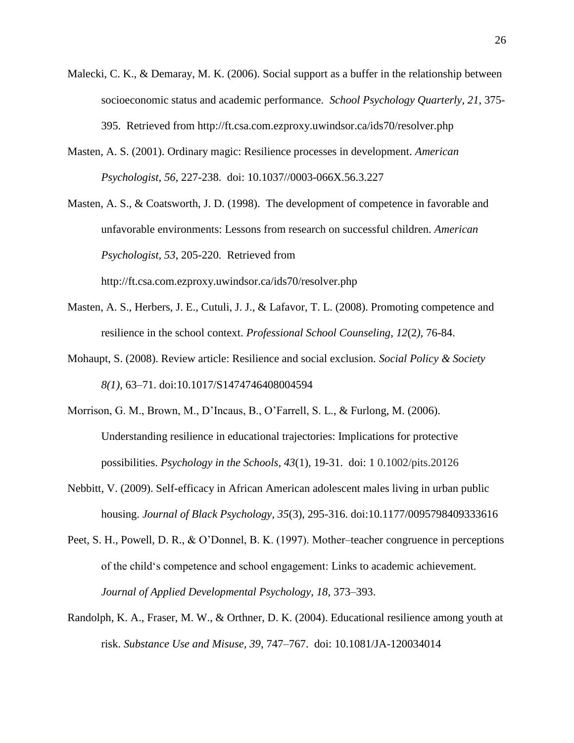- Malecki, C. K., & Demaray, M. K. (2006). Social support as a buffer in the relationship between socioeconomic status and academic performance. *School Psychology Quarterly*, *21*, 375- 395. Retrieved from http://ft.csa.com.ezproxy.uwindsor.ca/ids70/resolver.php
- Masten, A. S. (2001). Ordinary magic: Resilience processes in development. *American Psychologist*, *56*, 227-238. doi: 10.1037//0003-066X.56.3.227

Masten, A. S., & Coatsworth, J. D. (1998). The development of competence in favorable and unfavorable environments: Lessons from research on successful children. *American Psychologist, 53*, 205-220. Retrieved from http://ft.csa.com.ezproxy.uwindsor.ca/ids70/resolver.php

- Masten, A. S., Herbers, J. E., Cutuli, J. J., & Lafavor, T. L. (2008). Promoting competence and resilience in the school context. *Professional School Counseling*, *12*(2*),* 76-84.
- Mohaupt, S. (2008). Review article: Resilience and social exclusion. *Social Policy & Society 8(1),* 63–71. doi:10.1017/S1474746408004594
- Morrison, G. M., Brown, M., D'Incaus, B., O'Farrell, S. L., & Furlong, M. (2006). Understanding resilience in educational trajectories: Implications for protective possibilities. *Psychology in the Schools, 43*(1), 19-31. doi: 1 0.1002/pits.20126
- Nebbitt, V. (2009). Self-efficacy in African American adolescent males living in urban public housing. *Journal of Black Psychology, 35*(3), 295-316. doi:10.1177/0095798409333616
- Peet, S. H., Powell, D. R., & O'Donnel, B. K. (1997). Mother–teacher congruence in perceptions of the child's competence and school engagement: Links to academic achievement. *Journal of Applied Developmental Psychology, 18,* 373–393.
- Randolph, K. A., Fraser, M. W., & Orthner, D. K. (2004). Educational resilience among youth at risk. *Substance Use and Misuse, 39*, 747–767. doi: 10.1081/JA-120034014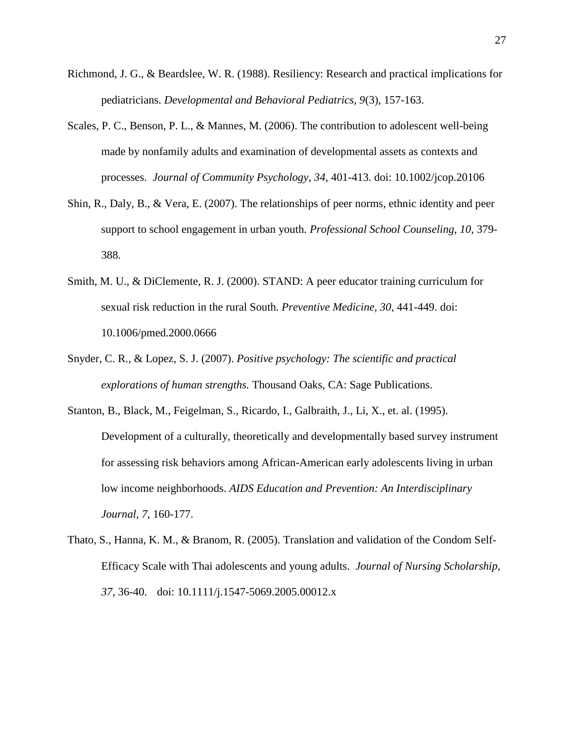- Richmond, J. G., & Beardslee, W. R. (1988). Resiliency: Research and practical implications for pediatricians. *Developmental and Behavioral Pediatrics, 9*(3)*,* 157-163.
- Scales, P. C., Benson, P. L., & Mannes, M. (2006). The contribution to adolescent well-being made by nonfamily adults and examination of developmental assets as contexts and processes. *Journal of Community Psychology*, *34*, 401-413. doi: 10.1002/jcop.20106
- Shin, R., Daly, B., & Vera, E. (2007). The relationships of peer norms, ethnic identity and peer support to school engagement in urban youth. *Professional School Counseling, 10*, 379- 388.
- Smith, M. U., & DiClemente, R. J. (2000). STAND: A peer educator training curriculum for sexual risk reduction in the rural South. *Preventive Medicine, 30*, 441-449. doi: 10.1006/pmed.2000.0666
- Snyder, C. R., & Lopez, S. J. (2007). *Positive psychology: The scientific and practical explorations of human strengths.* Thousand Oaks, CA: Sage Publications.
- Stanton, B., Black, M., Feigelman, S., Ricardo, I., Galbraith, J., Li, X., et. al. (1995). Development of a culturally, theoretically and developmentally based survey instrument for assessing risk behaviors among African-American early adolescents living in urban low income neighborhoods. *AIDS Education and Prevention: An Interdisciplinary Journal, 7*, 160-177.
- Thato, S., Hanna, K. M., & Branom, R. (2005). Translation and validation of the Condom Self-Efficacy Scale with Thai adolescents and young adults. *Journal of Nursing Scholarship, 37*, 36-40. doi: 10.1111/j.1547-5069.2005.00012.x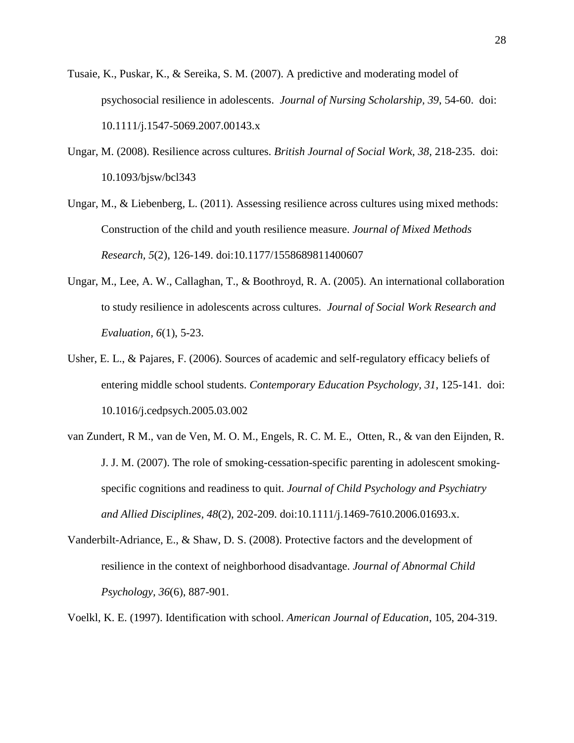- Tusaie, K., Puskar, K., & Sereika, S. M. (2007). A predictive and moderating model of psychosocial resilience in adolescents. *Journal of Nursing Scholarship, 39*, 54-60. doi: 10.1111/j.1547-5069.2007.00143.x
- Ungar, M. (2008). Resilience across cultures. *British Journal of Social Work, 38,* 218-235. doi: 10.1093/bjsw/bcl343
- Ungar, M., & Liebenberg, L. (2011). Assessing resilience across cultures using mixed methods: Construction of the child and youth resilience measure. *Journal of Mixed Methods Research, 5*(2), 126-149. doi:10.1177/1558689811400607
- Ungar, M., Lee, A. W., Callaghan, T., & Boothroyd, R. A. (2005). An international collaboration to study resilience in adolescents across cultures. *Journal of Social Work Research and Evaluation, 6*(1), 5-23.
- Usher, E. L., & Pajares, F. (2006). Sources of academic and self-regulatory efficacy beliefs of entering middle school students. *Contemporary Education Psychology, 31*, 125-141. doi: 10.1016/j.cedpsych.2005.03.002
- van Zundert, R M., van de Ven, M. O. M., Engels, R. C. M. E., Otten, R., & van den Eijnden, R. J. J. M. (2007). The role of smoking-cessation-specific parenting in adolescent smokingspecific cognitions and readiness to quit. *Journal of Child Psychology and Psychiatry and Allied Disciplines, 48*(2), 202-209. doi:10.1111/j.1469-7610.2006.01693.x.
- Vanderbilt-Adriance, E., & Shaw, D. S. (2008). Protective factors and the development of resilience in the context of neighborhood disadvantage. *Journal of Abnormal Child Psychology, 36*(6), 887-901.

Voelkl, K. E. (1997). Identification with school. *American Journal of Education*, 105, 204-319.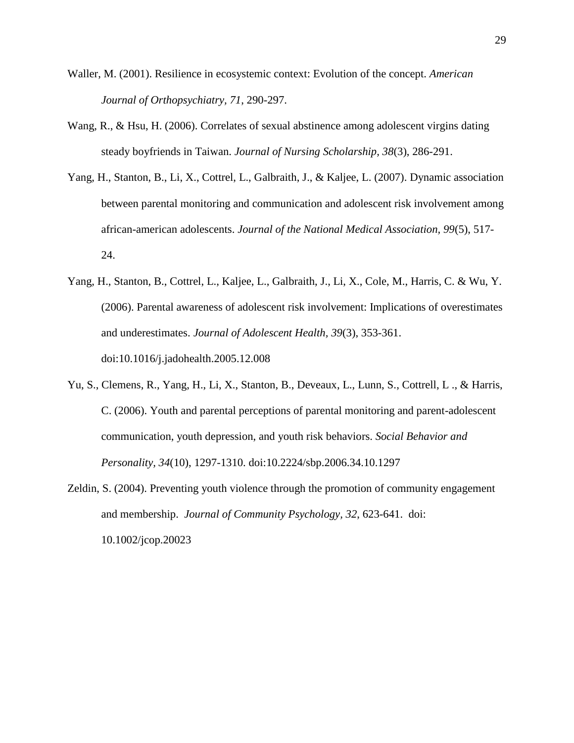- Waller, M. (2001). Resilience in ecosystemic context: Evolution of the concept. *American Journal of Orthopsychiatry, 71*, 290-297.
- Wang, R., & Hsu, H. (2006). Correlates of sexual abstinence among adolescent virgins dating steady boyfriends in Taiwan. *Journal of Nursing Scholarship, 38*(3), 286-291.
- Yang, H., Stanton, B., Li, X., Cottrel, L., Galbraith, J., & Kaljee, L. (2007). Dynamic association between parental monitoring and communication and adolescent risk involvement among african-american adolescents. *Journal of the National Medical Association, 99*(5), 517- 24.
- Yang, H., Stanton, B., Cottrel, L., Kaljee, L., Galbraith, J., Li, X., Cole, M., Harris, C. & Wu, Y. (2006). Parental awareness of adolescent risk involvement: Implications of overestimates and underestimates. *Journal of Adolescent Health, 39*(3), 353-361. doi:10.1016/j.jadohealth.2005.12.008
- Yu, S., Clemens, R., Yang, H., Li, X., Stanton, B., Deveaux, L., Lunn, S., Cottrell, L ., & Harris, C. (2006). Youth and parental perceptions of parental monitoring and parent-adolescent communication, youth depression, and youth risk behaviors. *Social Behavior and Personality, 34*(10), 1297-1310. doi:10.2224/sbp.2006.34.10.1297
- Zeldin, S. (2004). Preventing youth violence through the promotion of community engagement and membership. *Journal of Community Psychology, 32*, 623-641. doi: 10.1002/jcop.20023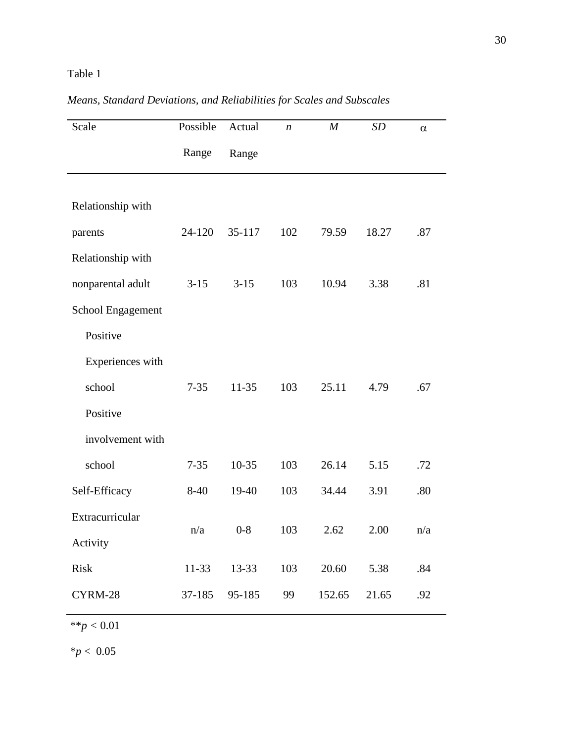# Table 1

| Scale             | Possible | Actual    | $\boldsymbol{M}$<br>$\boldsymbol{n}$ |        | SD    | $\alpha$ |
|-------------------|----------|-----------|--------------------------------------|--------|-------|----------|
|                   | Range    | Range     |                                      |        |       |          |
|                   |          |           |                                      |        |       |          |
| Relationship with |          |           |                                      |        |       |          |
| parents           | 24-120   | 35-117    | 102                                  | 79.59  | 18.27 | .87      |
| Relationship with |          |           |                                      |        |       |          |
| nonparental adult | $3-15$   | $3 - 15$  | 103                                  | 10.94  | 3.38  | .81      |
| School Engagement |          |           |                                      |        |       |          |
| Positive          |          |           |                                      |        |       |          |
| Experiences with  |          |           |                                      |        |       |          |
| school            | $7 - 35$ | $11 - 35$ | 103                                  | 25.11  | 4.79  | .67      |
| Positive          |          |           |                                      |        |       |          |
| involvement with  |          |           |                                      |        |       |          |
| school            | $7 - 35$ | $10 - 35$ | 103                                  | 26.14  | 5.15  | .72      |
| Self-Efficacy     | $8-40$   | 19-40     | 103                                  | 34.44  | 3.91  | .80      |
| Extracurricular   |          |           |                                      |        |       |          |
| Activity          | n/a      | $0 - 8$   | 103                                  | 2.62   | 2.00  | n/a      |
| <b>Risk</b>       | $11-33$  | $13 - 33$ | 103                                  | 20.60  | 5.38  | .84      |
| CYRM-28           | 37-185   | 95-185    | 99                                   | 152.65 | 21.65 | .92      |

# *Means, Standard Deviations, and Reliabilities for Scales and Subscales*

 $*$ *\*p* < 0.01

\**p* < 0.05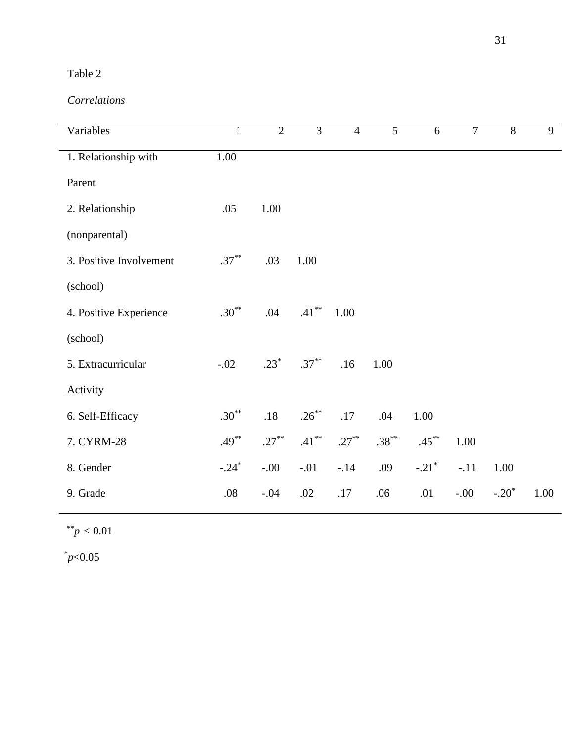# Table 2

# *Correlations*

| Variables               | $\mathbf{1}$ | $\overline{2}$ | 3        | $\overline{4}$ | 5        | 6        | $\overline{7}$ | 8        | 9    |
|-------------------------|--------------|----------------|----------|----------------|----------|----------|----------------|----------|------|
| 1. Relationship with    | $1.00\,$     |                |          |                |          |          |                |          |      |
| Parent                  |              |                |          |                |          |          |                |          |      |
| 2. Relationship         | .05          | 1.00           |          |                |          |          |                |          |      |
| (nonparental)           |              |                |          |                |          |          |                |          |      |
| 3. Positive Involvement | $.37***$     | .03            | 1.00     |                |          |          |                |          |      |
| (school)                |              |                |          |                |          |          |                |          |      |
| 4. Positive Experience  | $.30**$      | .04            | $.41***$ | 1.00           |          |          |                |          |      |
| (school)                |              |                |          |                |          |          |                |          |      |
| 5. Extracurricular      | $-.02$       | $.23*$         | $.37***$ | .16            | 1.00     |          |                |          |      |
| Activity                |              |                |          |                |          |          |                |          |      |
| 6. Self-Efficacy        | $.30**$      | .18            | $.26***$ | .17            | .04      | 1.00     |                |          |      |
| 7. CYRM-28              | $.49***$     | $.27***$       | $.41***$ | $.27***$       | $.38***$ | $.45***$ | 1.00           |          |      |
| 8. Gender               | $-.24*$      | $-00.$         | $-.01$   | $-.14$         | .09      | $-.21*$  | $-.11$         | 1.00     |      |
| 9. Grade                | .08          | $-.04$         | .02      | .17            | .06      | .01      | $-.00$         | $-.20^*$ | 1.00 |

 $*^*p < 0.01$ 

\* *p*<0.05